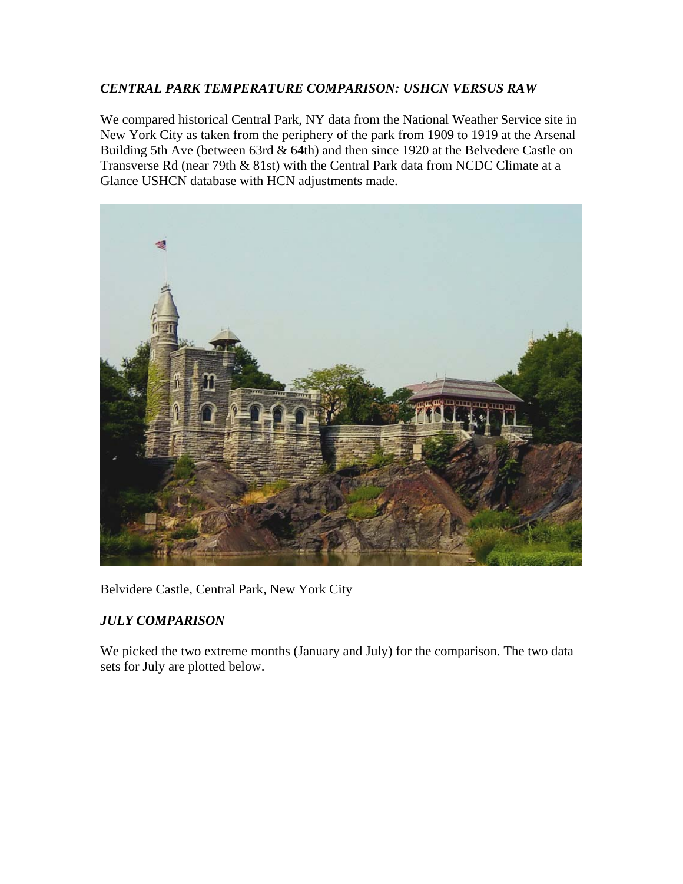## *CENTRAL PARK TEMPERATURE COMPARISON: USHCN VERSUS RAW*

We compared historical Central Park, NY data from the National Weather Service site in New York City as taken from the periphery of the park from 1909 to 1919 at the Arsenal Building 5th Ave (between 63rd & 64th) and then since 1920 at the Belvedere Castle on Transverse Rd (near 79th & 81st) with the Central Park data from NCDC Climate at a Glance USHCN database with HCN adjustments made.



Belvidere Castle, Central Park, New York City

## *JULY COMPARISON*

We picked the two extreme months (January and July) for the comparison. The two data sets for July are plotted below.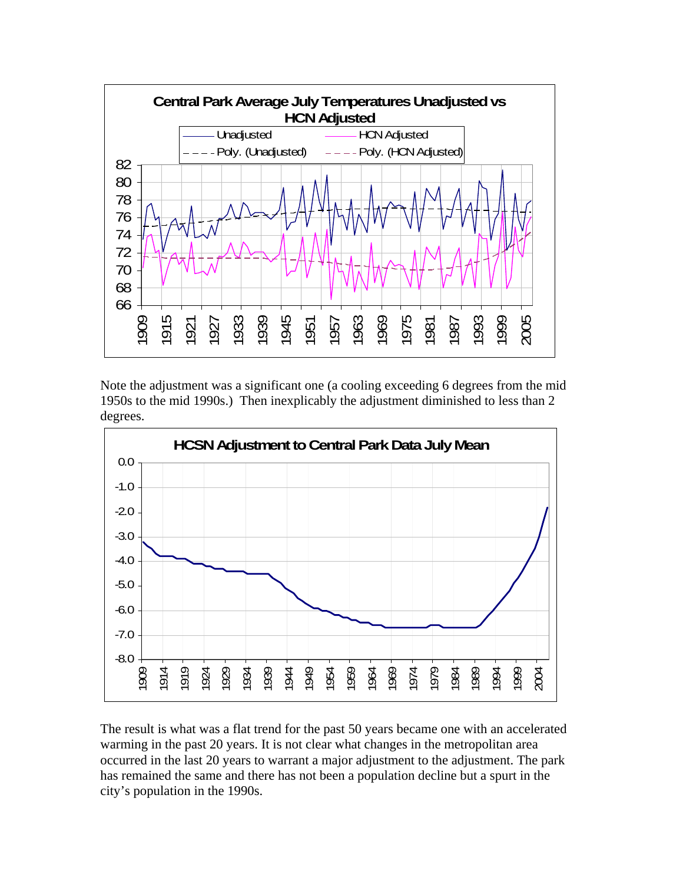

Note the adjustment was a significant one (a cooling exceeding 6 degrees from the mid 1950s to the mid 1990s.) Then inexplicably the adjustment diminished to less than 2 degrees.



The result is what was a flat trend for the past 50 years became one with an accelerated warming in the past 20 years. It is not clear what changes in the metropolitan area occurred in the last 20 years to warrant a major adjustment to the adjustment. The park has remained the same and there has not been a population decline but a spurt in the city's population in the 1990s.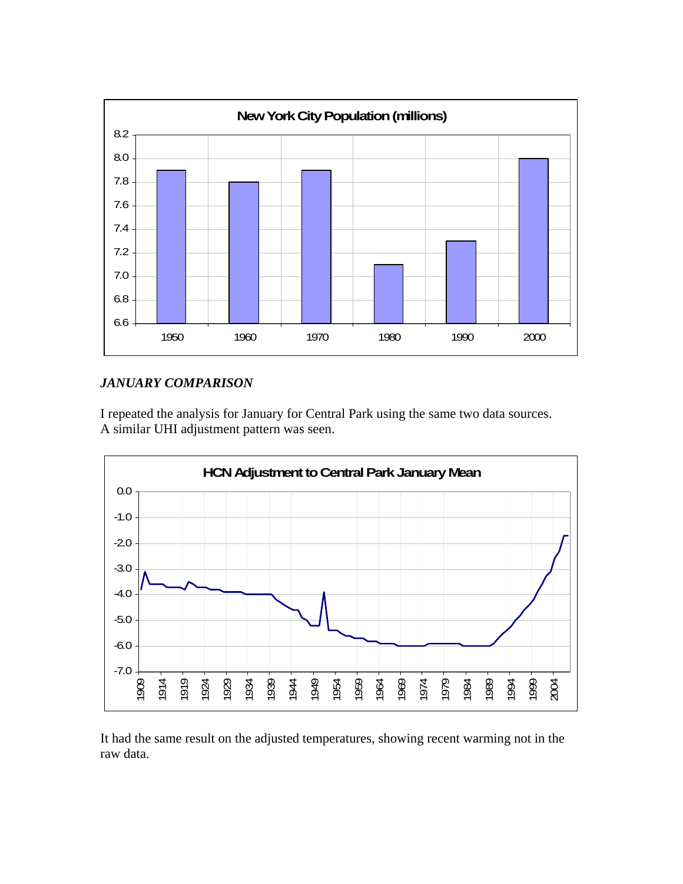

## *JANUARY COMPARISON*

I repeated the analysis for January for Central Park using the same two data sources. A similar UHI adjustment pattern was seen.



It had the same result on the adjusted temperatures, showing recent warming not in the raw data.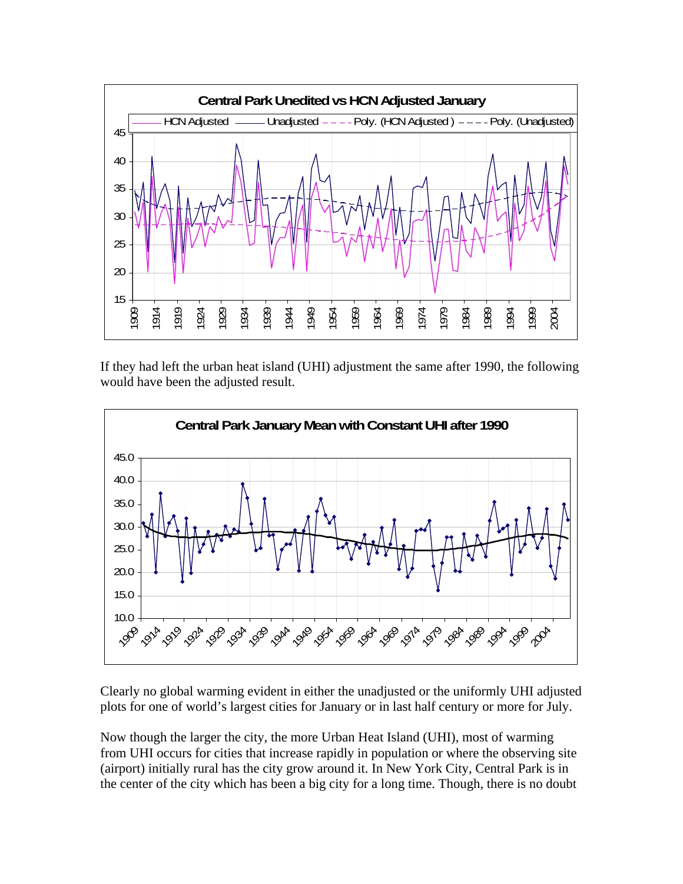

If they had left the urban heat island (UHI) adjustment the same after 1990, the following would have been the adjusted result.



Clearly no global warming evident in either the unadjusted or the uniformly UHI adjusted plots for one of world's largest cities for January or in last half century or more for July.

Now though the larger the city, the more Urban Heat Island (UHI), most of warming from UHI occurs for cities that increase rapidly in population or where the observing site (airport) initially rural has the city grow around it. In New York City, Central Park is in the center of the city which has been a big city for a long time. Though, there is no doubt